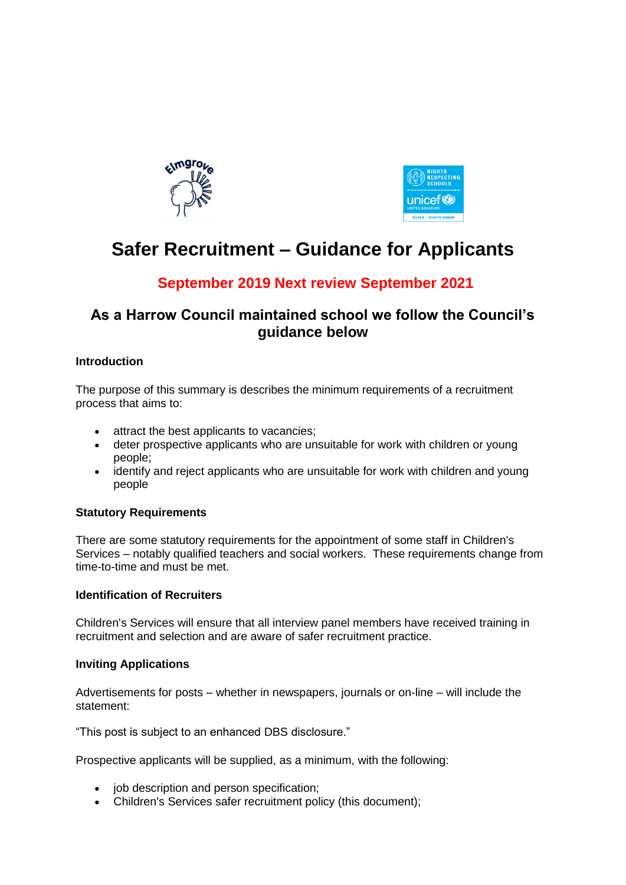



# **Safer Recruitment – Guidance for Applicants**

## **September 2019 Next review September 2021**

### **As a Harrow Council maintained school we follow the Council's guidance below**

#### **Introduction**

The purpose of this summary is describes the minimum requirements of a recruitment process that aims to:

- attract the best applicants to vacancies;
- deter prospective applicants who are unsuitable for work with children or young people;
- identify and reject applicants who are unsuitable for work with children and young people

#### **Statutory Requirements**

There are some statutory requirements for the appointment of some staff in Children's Services – notably qualified teachers and social workers. These requirements change from time-to-time and must be met.

#### **Identification of Recruiters**

Children's Services will ensure that all interview panel members have received training in recruitment and selection and are aware of safer recruitment practice.

#### **Inviting Applications**

Advertisements for posts – whether in newspapers, journals or on-line – will include the statement:

"This post is subject to an enhanced DBS disclosure."

Prospective applicants will be supplied, as a minimum, with the following:

- iob description and person specification:
- Children's Services safer recruitment policy (this document);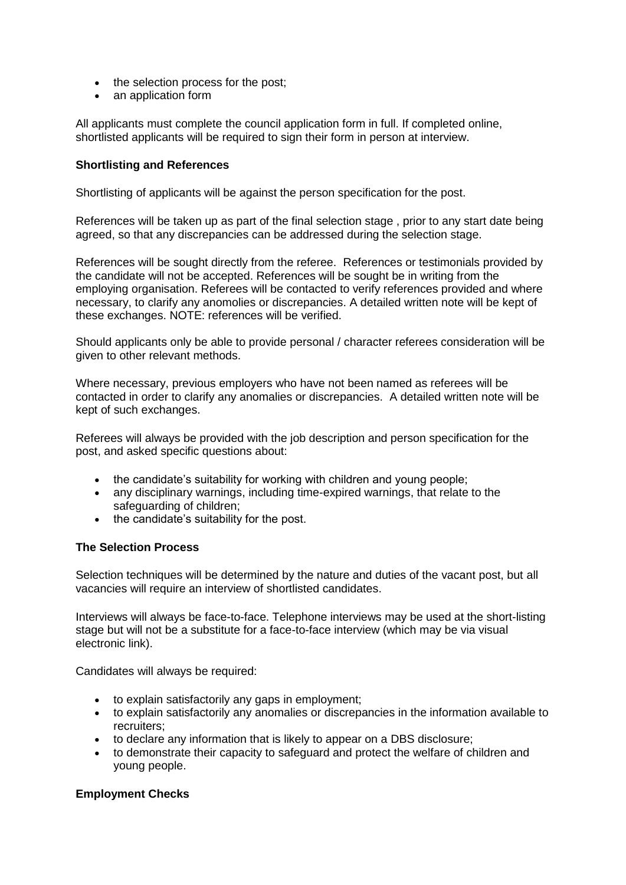- the selection process for the post;
- an application form

All applicants must complete the council application form in full. If completed online, shortlisted applicants will be required to sign their form in person at interview.

#### **Shortlisting and References**

Shortlisting of applicants will be against the person specification for the post.

References will be taken up as part of the final selection stage , prior to any start date being agreed, so that any discrepancies can be addressed during the selection stage.

References will be sought directly from the referee. References or testimonials provided by the candidate will not be accepted. References will be sought be in writing from the employing organisation. Referees will be contacted to verify references provided and where necessary, to clarify any anomolies or discrepancies. A detailed written note will be kept of these exchanges. NOTE: references will be verified.

Should applicants only be able to provide personal / character referees consideration will be given to other relevant methods.

Where necessary, previous employers who have not been named as referees will be contacted in order to clarify any anomalies or discrepancies. A detailed written note will be kept of such exchanges.

Referees will always be provided with the job description and person specification for the post, and asked specific questions about:

- the candidate's suitability for working with children and young people:
- any disciplinary warnings, including time-expired warnings, that relate to the safeguarding of children;
- the candidate's suitability for the post.

#### **The Selection Process**

Selection techniques will be determined by the nature and duties of the vacant post, but all vacancies will require an interview of shortlisted candidates.

Interviews will always be face-to-face. Telephone interviews may be used at the short-listing stage but will not be a substitute for a face-to-face interview (which may be via visual electronic link).

Candidates will always be required:

- to explain satisfactorily any gaps in employment;
- to explain satisfactorily any anomalies or discrepancies in the information available to recruiters;
- to declare any information that is likely to appear on a DBS disclosure;
- to demonstrate their capacity to safeguard and protect the welfare of children and young people.

#### **Employment Checks**